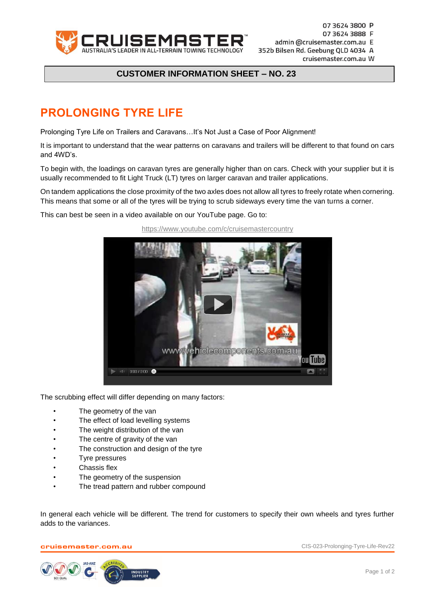

07 3624 3800 P 07 3624 3888 F admin @cruisemaster.com.au E 352b Bilsen Rd. Geebung QLD 4034 A cruisemaster.com.au W

## **CUSTOMER INFORMATION SHEET – NO. 23**

## **PROLONGING TYRE LIFE**

Prolonging Tyre Life on Trailers and Caravans…It's Not Just a Case of Poor Alignment!

It is important to understand that the wear patterns on caravans and trailers will be different to that found on cars and 4WD's.

To begin with, the loadings on caravan tyres are generally higher than on cars. Check with your supplier but it is usually recommended to fit Light Truck (LT) tyres on larger caravan and trailer applications.

On tandem applications the close proximity of the two axles does not allow all tyres to freely rotate when cornering. This means that some or all of the tyres will be trying to scrub sideways every time the van turns a corner.

This can best be seen in a video available on our YouTube page. Go to:



<https://www.youtube.com/c/cruisemastercountry>

The scrubbing effect will differ depending on many factors:

- The geometry of the van
- The effect of load levelling systems
- The weight distribution of the van
- The centre of gravity of the van
- The construction and design of the tyre
- Tyre pressures
- Chassis flex
- The geometry of the suspension
- The tread pattern and rubber compound

In general each vehicle will be different. The trend for customers to specify their own wheels and tyres further adds to the variances.

cruisemaster.com.au CIS-023-Prolonging-Tyre-Life-Rev22